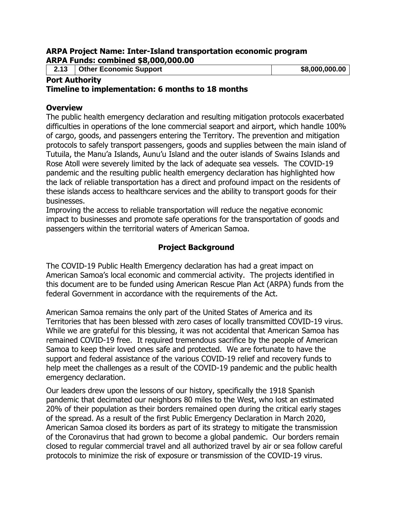#### **ARPA Project Name: Inter-Island transportation economic program ARPA Funds: combined \$8,000,000.00**

**2.13 Other Economic Support** \$8,000,000.00

#### **Port Authority Timeline to implementation: 6 months to 18 months**

#### **Overview**

The public health emergency declaration and resulting mitigation protocols exacerbated difficulties in operations of the lone commercial seaport and airport, which handle 100% of cargo, goods, and passengers entering the Territory. The prevention and mitigation protocols to safely transport passengers, goods and supplies between the main island of Tutuila, the Manu'a Islands, Aunu'u Island and the outer islands of Swains Islands and Rose Atoll were severely limited by the lack of adequate sea vessels. The COVID-19 pandemic and the resulting public health emergency declaration has highlighted how the lack of reliable transportation has a direct and profound impact on the residents of these islands access to healthcare services and the ability to transport goods for their businesses.

Improving the access to reliable transportation will reduce the negative economic impact to businesses and promote safe operations for the transportation of goods and passengers within the territorial waters of American Samoa.

## **Project Background**

The COVID-19 Public Health Emergency declaration has had a great impact on American Samoa's local economic and commercial activity. The projects identified in this document are to be funded using American Rescue Plan Act (ARPA) funds from the federal Government in accordance with the requirements of the Act.

American Samoa remains the only part of the United States of America and its Territories that has been blessed with zero cases of locally transmitted COVID-19 virus. While we are grateful for this blessing, it was not accidental that American Samoa has remained COVID-19 free. It required tremendous sacrifice by the people of American Samoa to keep their loved ones safe and protected. We are fortunate to have the support and federal assistance of the various COVID-19 relief and recovery funds to help meet the challenges as a result of the COVID-19 pandemic and the public health emergency declaration.

Our leaders drew upon the lessons of our history, specifically the 1918 Spanish pandemic that decimated our neighbors 80 miles to the West, who lost an estimated 20% of their population as their borders remained open during the critical early stages of the spread. As a result of the first Public Emergency Declaration in March 2020, American Samoa closed its borders as part of its strategy to mitigate the transmission of the Coronavirus that had grown to become a global pandemic. Our borders remain closed to regular commercial travel and all authorized travel by air or sea follow careful protocols to minimize the risk of exposure or transmission of the COVID-19 virus.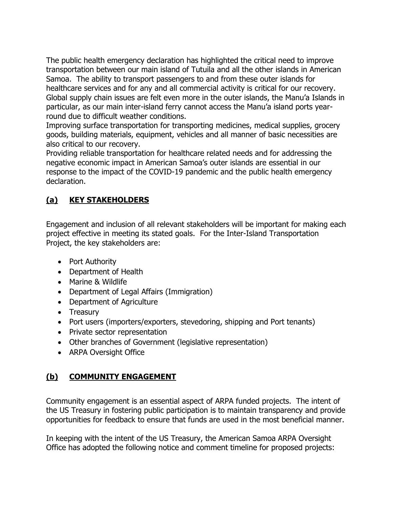The public health emergency declaration has highlighted the critical need to improve transportation between our main island of Tutuila and all the other islands in American Samoa. The ability to transport passengers to and from these outer islands for healthcare services and for any and all commercial activity is critical for our recovery. Global supply chain issues are felt even more in the outer islands, the Manu'a Islands in particular, as our main inter-island ferry cannot access the Manu'a island ports yearround due to difficult weather conditions.

Improving surface transportation for transporting medicines, medical supplies, grocery goods, building materials, equipment, vehicles and all manner of basic necessities are also critical to our recovery.

Providing reliable transportation for healthcare related needs and for addressing the negative economic impact in American Samoa's outer islands are essential in our response to the impact of the COVID-19 pandemic and the public health emergency declaration.

# **(a) KEY STAKEHOLDERS**

Engagement and inclusion of all relevant stakeholders will be important for making each project effective in meeting its stated goals. For the Inter-Island Transportation Project, the key stakeholders are:

- Port Authority
- Department of Health
- Marine & Wildlife
- Department of Legal Affairs (Immigration)
- Department of Agriculture
- Treasury
- Port users (importers/exporters, stevedoring, shipping and Port tenants)
- Private sector representation
- Other branches of Government (legislative representation)
- ARPA Oversight Office

# **(b) COMMUNITY ENGAGEMENT**

Community engagement is an essential aspect of ARPA funded projects. The intent of the US Treasury in fostering public participation is to maintain transparency and provide opportunities for feedback to ensure that funds are used in the most beneficial manner.

In keeping with the intent of the US Treasury, the American Samoa ARPA Oversight Office has adopted the following notice and comment timeline for proposed projects: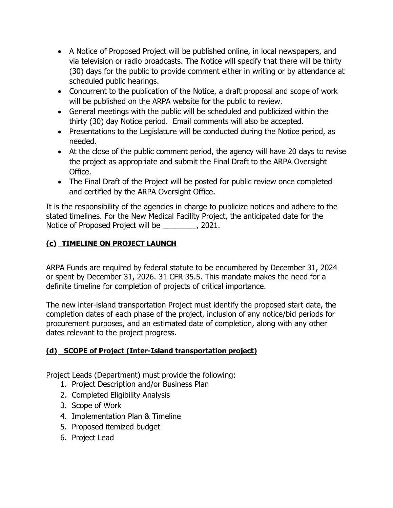- A Notice of Proposed Project will be published online, in local newspapers, and via television or radio broadcasts. The Notice will specify that there will be thirty (30) days for the public to provide comment either in writing or by attendance at scheduled public hearings.
- Concurrent to the publication of the Notice, a draft proposal and scope of work will be published on the ARPA website for the public to review.
- General meetings with the public will be scheduled and publicized within the thirty (30) day Notice period. Email comments will also be accepted.
- Presentations to the Legislature will be conducted during the Notice period, as needed.
- At the close of the public comment period, the agency will have 20 days to revise the project as appropriate and submit the Final Draft to the ARPA Oversight Office.
- The Final Draft of the Project will be posted for public review once completed and certified by the ARPA Oversight Office.

It is the responsibility of the agencies in charge to publicize notices and adhere to the stated timelines. For the New Medical Facility Project, the anticipated date for the Notice of Proposed Project will be \_\_\_\_\_\_\_\_, 2021.

## **(c) TIMELINE ON PROJECT LAUNCH**

ARPA Funds are required by federal statute to be encumbered by December 31, 2024 or spent by December 31, 2026. 31 CFR 35.5. This mandate makes the need for a definite timeline for completion of projects of critical importance.

The new inter-island transportation Project must identify the proposed start date, the completion dates of each phase of the project, inclusion of any notice/bid periods for procurement purposes, and an estimated date of completion, along with any other dates relevant to the project progress.

# **(d) SCOPE of Project (Inter-Island transportation project)**

Project Leads (Department) must provide the following:

- 1. Project Description and/or Business Plan
- 2. Completed Eligibility Analysis
- 3. Scope of Work
- 4. Implementation Plan & Timeline
- 5. Proposed itemized budget
- 6. Project Lead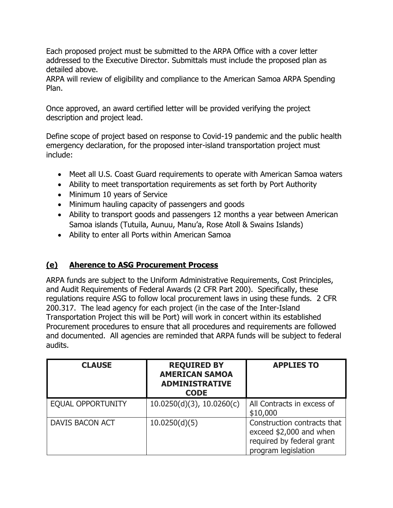Each proposed project must be submitted to the ARPA Office with a cover letter addressed to the Executive Director. Submittals must include the proposed plan as detailed above.

ARPA will review of eligibility and compliance to the American Samoa ARPA Spending Plan.

Once approved, an award certified letter will be provided verifying the project description and project lead.

Define scope of project based on response to Covid-19 pandemic and the public health emergency declaration, for the proposed inter-island transportation project must include:

- Meet all U.S. Coast Guard requirements to operate with American Samoa waters
- Ability to meet transportation requirements as set forth by Port Authority
- Minimum 10 years of Service
- Minimum hauling capacity of passengers and goods
- Ability to transport goods and passengers 12 months a year between American Samoa islands (Tutuila, Aunuu, Manu'a, Rose Atoll & Swains Islands)
- Ability to enter all Ports within American Samoa

## **(e) Aherence to ASG Procurement Process**

ARPA funds are subject to the Uniform Administrative Requirements, Cost Principles, and Audit Requirements of Federal Awards (2 CFR Part 200). Specifically, these regulations require ASG to follow local procurement laws in using these funds. 2 CFR 200.317. The lead agency for each project (in the case of the Inter-Island Transportation Project this will be Port) will work in concert within its established Procurement procedures to ensure that all procedures and requirements are followed and documented. All agencies are reminded that ARPA funds will be subject to federal audits.

| <b>CLAUSE</b>            | <b>REQUIRED BY</b><br><b>AMERICAN SAMOA</b><br><b>ADMINISTRATIVE</b><br><b>CODE</b> | <b>APPLIES TO</b>                                                                                          |
|--------------------------|-------------------------------------------------------------------------------------|------------------------------------------------------------------------------------------------------------|
| <b>EQUAL OPPORTUNITY</b> | $10.0250(d)(3)$ , $10.0260(c)$                                                      | All Contracts in excess of<br>\$10,000                                                                     |
| DAVIS BACON ACT          | 10.0250(d)(5)                                                                       | Construction contracts that<br>exceed \$2,000 and when<br>required by federal grant<br>program legislation |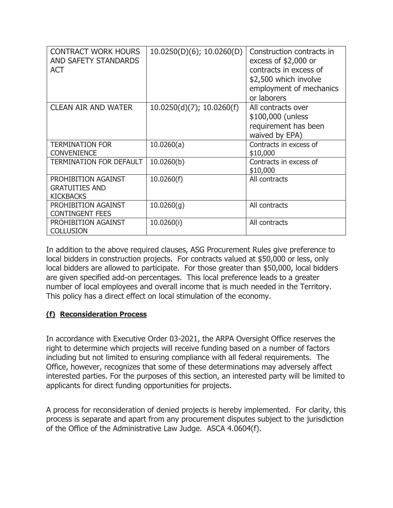| <b>CONTRACT WORK HOURS</b><br>AND SAFETY STANDARDS<br><b>ACT</b> | 10.0250(D)(6); 10.0260(D)    | Construction contracts in<br>excess of $$2,000$ or<br>contracts in excess of<br>\$2,500 which involve<br>employment of mechanics<br>or laborers |
|------------------------------------------------------------------|------------------------------|-------------------------------------------------------------------------------------------------------------------------------------------------|
| <b>CLEAN AIR AND WATER</b>                                       | $10.0250(d)(7)$ ; 10.0260(f) | All contracts over<br>\$100,000 (unless<br>requirement has been<br>waived by EPA)                                                               |
| <b>TERMINATION FOR</b><br><b>CONVENIENCE</b>                     | 10.0260(a)                   | Contracts in excess of<br>\$10,000                                                                                                              |
| <b>TERMINATION FOR DEFAULT</b>                                   | 10.0260(b)                   | Contracts in excess of<br>\$10,000                                                                                                              |
| PROHIBITION AGAINST<br><b>GRATUITIES AND</b><br><b>KICKBACKS</b> | 10.0260(f)                   | All contracts                                                                                                                                   |
| PROHIBITION AGAINST<br><b>CONTINGENT FEES</b>                    | 10.0260(g)                   | All contracts                                                                                                                                   |
| PROHIBITION AGAINST<br><b>COLLUSION</b>                          | 10.0260(i)                   | All contracts                                                                                                                                   |

In addition to the above required clauses, ASG Procurement Rules give preference to local bidders in construction projects. For contracts valued at \$50,000 or less, only local bidders are allowed to participate. For those greater than \$50,000, local bidders are given specified add-on percentages. This local preference leads to a greater number of local employees and overall income that is much needed in the Territory. This policy has a direct effect on local stimulation of the economy.

### **(f) Reconsideration Process**

In accordance with Executive Order 03-2021, the ARPA Oversight Office reserves the right to determine which projects will receive funding based on a number of factors including but not limited to ensuring compliance with all federal requirements. The Office, however, recognizes that some of these determinations may adversely affect interested parties. For the purposes of this section, an interested party will be limited to applicants for direct funding opportunities for projects.

A process for reconsideration of denied projects is hereby implemented. For clarity, this process is separate and apart from any procurement disputes subject to the jurisdiction of the Office of the Administrative Law Judge. ASCA 4.0604(f).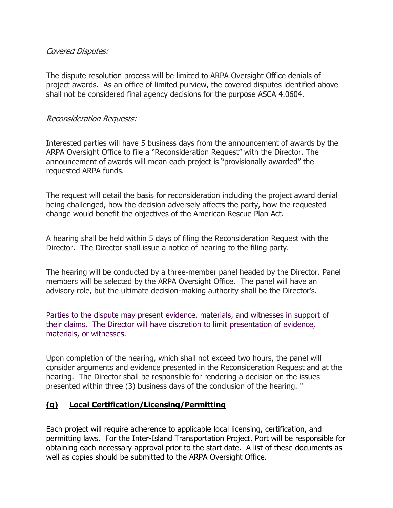### Covered Disputes:

The dispute resolution process will be limited to ARPA Oversight Office denials of project awards. As an office of limited purview, the covered disputes identified above shall not be considered final agency decisions for the purpose ASCA 4.0604.

#### Reconsideration Requests:

Interested parties will have 5 business days from the announcement of awards by the ARPA Oversight Office to file a "Reconsideration Request" with the Director. The announcement of awards will mean each project is "provisionally awarded" the requested ARPA funds.

The request will detail the basis for reconsideration including the project award denial being challenged, how the decision adversely affects the party, how the requested change would benefit the objectives of the American Rescue Plan Act.

A hearing shall be held within 5 days of filing the Reconsideration Request with the Director. The Director shall issue a notice of hearing to the filing party.

The hearing will be conducted by a three-member panel headed by the Director. Panel members will be selected by the ARPA Oversight Office. The panel will have an advisory role, but the ultimate decision-making authority shall be the Director's.

Parties to the dispute may present evidence, materials, and witnesses in support of their claims. The Director will have discretion to limit presentation of evidence, materials, or witnesses.

Upon completion of the hearing, which shall not exceed two hours, the panel will consider arguments and evidence presented in the Reconsideration Request and at the hearing. The Director shall be responsible for rendering a decision on the issues presented within three (3) business days of the conclusion of the hearing. "

## **(g) Local Certification/Licensing/Permitting**

Each project will require adherence to applicable local licensing, certification, and permitting laws. For the Inter-Island Transportation Project, Port will be responsible for obtaining each necessary approval prior to the start date. A list of these documents as well as copies should be submitted to the ARPA Oversight Office.